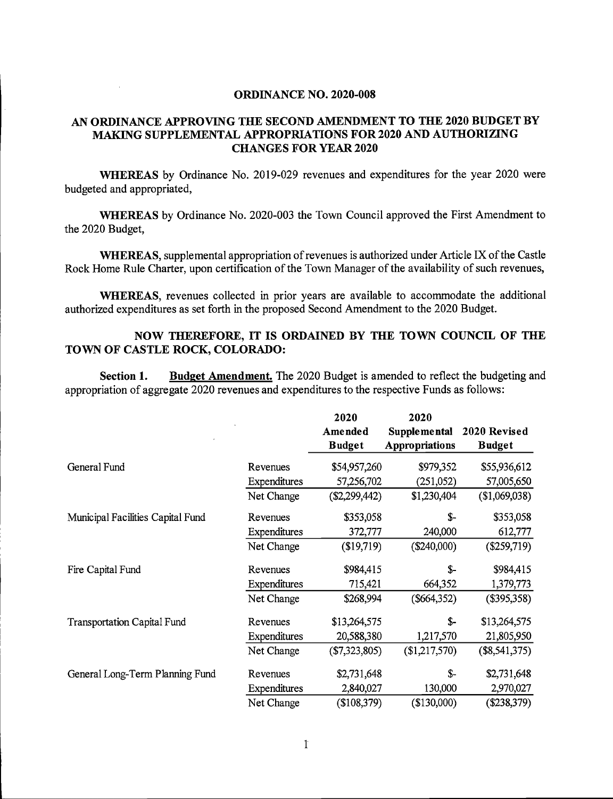## ORDINANCE NO. 2020-008

## AN ORDINANCE APPROVING THE SECOND AMENDMENT TO THE 2020 BUDGET BY MAKING SUPPLEMENTAL APPROPRIATIONS FOR 2020 AND AUTHORIZING CHANGES FOR YEAR 2020

WHEREAS by Ordinance No. 2019-029 revenues and expenditures for the year 2020 were budgeted and appropriated,

WHEREAS by Ordinance No. 2020-003 the Town Council approved the First Amendment to the 2020 Budget,

WHEREAS, supplemental appropriation of revenues is authorized under Article IX of the Castle Rock Home Rule Charter, upon certification of the Town Manager of the availability of such revenues,

WHEREAS, revenues collected in prior years are available to accommodate the additional authorized expenditures as set forth in the proposed Second Amendment to the 2020 Budget.

## NOW THEREFORE, IT IS ORDAINED BY THE TOWN COUNCIL OF THE TOWN OF CASTLE ROCK, COLORADO:

Section 1. Budget Amendment. The 2020 Budget is amended to reflect the budgeting and appropriation of aggregate 2020 revenues and expenditures to the respective Funds as follows:

|                                    |              | 2020            | 2020                |                 |
|------------------------------------|--------------|-----------------|---------------------|-----------------|
|                                    |              | Amended         | <b>Supplemental</b> | 2020 Revised    |
|                                    |              | <b>Budget</b>   | Appropriations      | <b>Budget</b>   |
| General Fund                       | Revenues     | \$54,957,260    | \$979,352           | \$55,936,612    |
|                                    | Expenditures | 57,256,702      | (251,052)           | 57,005,650      |
|                                    | Net Change   | $(\$2,299,442)$ | \$1,230,404         | (\$1,069,038)   |
| Municipal Facilities Capital Fund  | Revenues     | \$353,058       | $S-$                | \$353,058       |
|                                    | Expenditures | 372,777         | 240,000             | 612,777         |
|                                    | Net Change   | (\$19,719)      | $(\$240,000)$       | $(\$259,719)$   |
| Fire Capital Fund                  | Revenues     | \$984,415       | $S-$                | \$984,415       |
|                                    | Expenditures | 715,421         | 664,352             | 1,379,773       |
|                                    | Net Change   | \$268,994       | (\$664,352)         | $($ \$395,358)  |
| <b>Transportation Capital Fund</b> | Revenues     | \$13,264,575    | $S-$                | \$13,264,575    |
|                                    | Expenditures | 20,588,380      | 1,217,570           | 21,805,950      |
|                                    | Net Change   | (\$7,323,805)   | (\$1,217,570)       | $(\$8,541,375)$ |
| General Long-Term Planning Fund    | Revenues     | \$2,731,648     | $S-$                | \$2,731,648     |
|                                    | Expenditures | 2,840,027       | 130,000             | 2,970,027       |
|                                    | Net Change   | (\$108,379)     | (\$130,000)         | $(\$238,379)$   |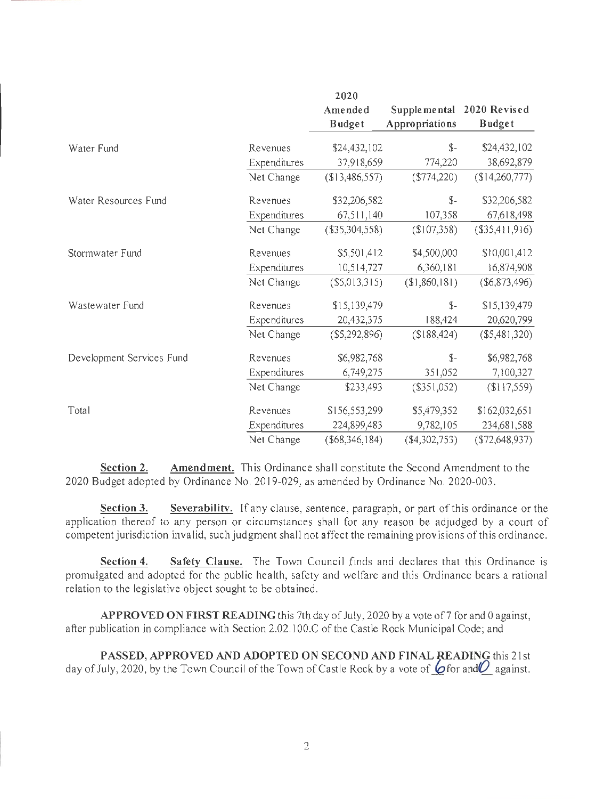|                           |              | 2020              |                |                 |
|---------------------------|--------------|-------------------|----------------|-----------------|
|                           |              | Amended           | Supplemental   | 2020 Revised    |
|                           |              | <b>Budget</b>     | Appropriations | <b>Budget</b>   |
| Water Fund                | Revenues     | \$24,432,102      | $S-$           | \$24,432,102    |
|                           | Expenditures | 37,918,659        | 774,220        | 38,692,879      |
|                           | Net Change   | (\$13,486,557)    | $(*774,220)$   | (\$14,260,777)  |
| Water Resources Fund      | Revenues     | \$32,206,582      | $S-$           | \$32,206,582    |
|                           | Expenditures | 67,511,140        | 107,358        | 67,618,498      |
|                           | Net Change   | (\$35,304,558)    | (\$107,358)    | (\$35,411,916)  |
| Stormwater Fund           | Revenues     | \$5,501,412       | \$4,500,000    | \$10,001,412    |
|                           | Expenditures | 10,514,727        | 6,360,181      | 16,874,908      |
|                           | Net Change   | (\$5,013,315)     | (\$1,860,181)  | $(\$6,873,496)$ |
| Wastewater Fund           | Revenues     | \$15,139,479      | $S-$           | \$15,139,479    |
|                           | Expenditures | 20,432,375        | 188,424        | 20,620,799      |
|                           | Net Change   | (\$5,292,896)     | \$188,424      | $(\$5,481,320)$ |
| Development Services Fund | Revenues     | \$6,982,768       | $S-$           | \$6,982,768     |
|                           | Expenditures | 6,749,275         | 351,052        | 7,100,327       |
|                           | Net Change   | \$233,493         | (\$351,052)    | \$117,559       |
| Total                     | Revenues     | \$156,553,299     | \$5,479,352    | \$162,032,651   |
|                           | Expenditures | 224,899,483       | 9,782,105      | 234,681,588     |
|                           | Net Change   | $($ \$68,346,184) | ( \$4,302,753) | (\$72,648,937)  |

Section 2. Amendment. This Ordinance shall constitute the Second Amendment to the 2020 Budget adopted by Ordinance No. 2019-029, as amended by Ordinance No. 2020-003.

Section 3. Severability. If any clause, sentence, paragraph, or part of this ordinance or the application thereof to any person or circumstances shall for any reason be adjudged by a court of competent jurisdiction invalid, such judgment shall not affect the remaining provisions of this ordinance.

Section 4. Safety Clause, The Town Council finds and declares that this Ordinance is promulgated and adopted for the public health, safety and welfare and this Ordinance bears a rational relation to the legislative object sought to be obtained.

APPROVED ON FIRST READING this 7th day of July, 2020 by a vote of 7 for and 0 against, after publication in compliance with Section 2.02.100.C of the Castle Rock Municipal Code; and

PASSED, APPROVED AND ADOPTED ON SECOND AND FINAL READING this 21st day of July, 2020, by the Town Council of the Town of Castle Rock by a vote of  $\bullet$  for and  $\bullet$  against.